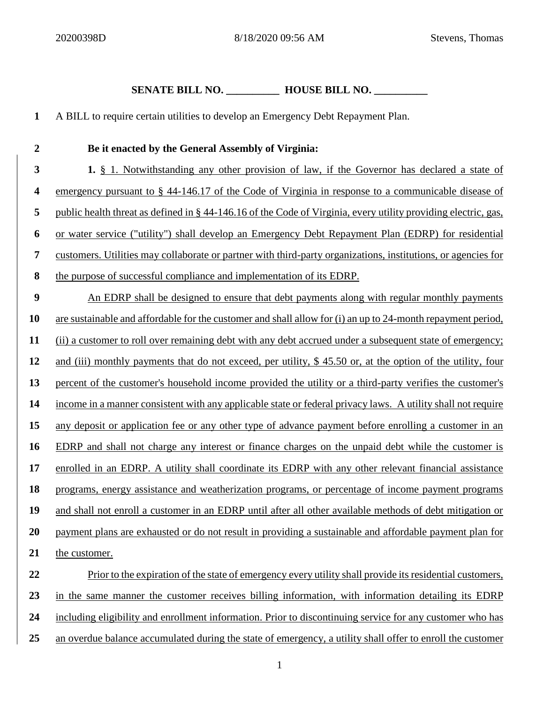## **SENATE BILL NO. \_\_\_\_\_\_\_\_\_\_ HOUSE BILL NO. \_\_\_\_\_\_\_\_\_\_**

 A BILL to require certain utilities to develop an Emergency Debt Repayment Plan. **Be it enacted by the General Assembly of Virginia: 1.** § 1. Notwithstanding any other provision of law, if the Governor has declared a state of emergency pursuant to § 44-146.17 of the Code of Virginia in response to a communicable disease of public health threat as defined in § 44-146.16 of the Code of Virginia, every utility providing electric, gas, or water service ("utility") shall develop an Emergency Debt Repayment Plan (EDRP) for residential customers. Utilities may collaborate or partner with third-party organizations, institutions, or agencies for the purpose of successful compliance and implementation of its EDRP. An EDRP shall be designed to ensure that debt payments along with regular monthly payments are sustainable and affordable for the customer and shall allow for (i) an up to 24-month repayment period, (ii) a customer to roll over remaining debt with any debt accrued under a subsequent state of emergency; and (iii) monthly payments that do not exceed, per utility, \$ 45.50 or, at the option of the utility, four percent of the customer's household income provided the utility or a third-party verifies the customer's income in a manner consistent with any applicable state or federal privacy laws. A utility shall not require any deposit or application fee or any other type of advance payment before enrolling a customer in an EDRP and shall not charge any interest or finance charges on the unpaid debt while the customer is enrolled in an EDRP. A utility shall coordinate its EDRP with any other relevant financial assistance programs, energy assistance and weatherization programs, or percentage of income payment programs and shall not enroll a customer in an EDRP until after all other available methods of debt mitigation or payment plans are exhausted or do not result in providing a sustainable and affordable payment plan for the customer. Prior to the expiration of the state of emergency every utility shall provide its residential customers, in the same manner the customer receives billing information, with information detailing its EDRP including eligibility and enrollment information. Prior to discontinuing service for any customer who has

an overdue balance accumulated during the state of emergency, a utility shall offer to enroll the customer